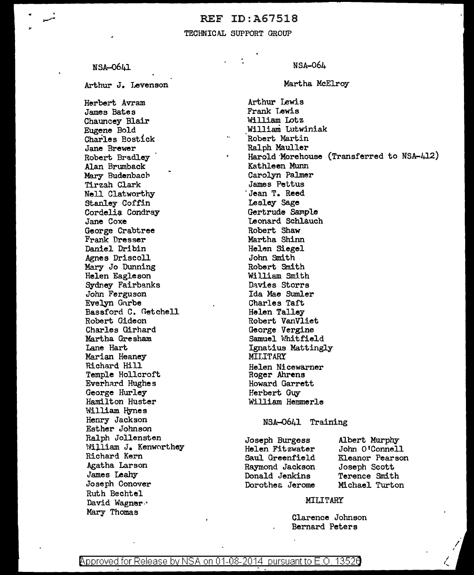### REF ID:A67518

### TECHNICAL SUPPORT GROUP

NSA-0641

Arthur J. Levenson

Herbert Avram James Bates Chauncey Blair Eugene Bold Charles Bostick Jane Brewer Robert Bradley Alan Brumback Mary Budenbach Tirzah Clark Nell Clatworthy Stanley Coffin Cordelia Condray Jane Coxe George Crabtree Frank Dresser Daniel Dribin Agnes Driscoll Mary Jo Dunning Helen Eagleson Sydney Fairbanks John Ferguson Evelyn Gnrbe Bassford C. Getchell Robert Gideon Charles Girhard Martha Gresham Lane Hart Marian Heaney Richard Hill Temple Hollcroft Everhard Hughes George Hurley Hamilton Huster William Hynes Henry Jackson Esther Johnson Ralph Jollensten 'vil.liam J. Kenworthey Richard Kern Agatha Larson James Leahy Joseph Conover Ruth Bechtel David Wagner Mary Thomas

NSA-064

Martha McElroy

Arthur Lewis Frank Lewis William Lotz William Lutwiniak Robert Martin Ralph Mauller Harold·Morehouse (Transferred to NSA-412) Kathleen Munn Carolyn Palmer James Pettus Jean T. Reed Lesley Sage Gertrude Sample Teonard Schlauch Robert Shaw Martha Shinn Helen Siegel John Smith Robert Smith William Smith Davies Storrs Ida Mae Sumler Charles Taft Helen Talley Robert VanVliet George Vergine Samuel 'Whitfield Ignatius Mattingly MILLTARY Helen Nicewarner Roger Ahrens Howard Garrett Herbert Guy William Hemmerle

#### NSA-0641 Training

Joseph Burgess Helen Fitzwater Saul Greenfield Raymond Jackson Donald Jenkins Dorothea Jerome Albert Murphy John O'Connell Eleanor Pearson Joseph Scott Terence Smith Michael Turton

### MILITARY

Clarence Johnson Bernard Peters

*l.\_* 

Approved for Release by NSA on 01-08-2014 pursuant to E.O. 13520